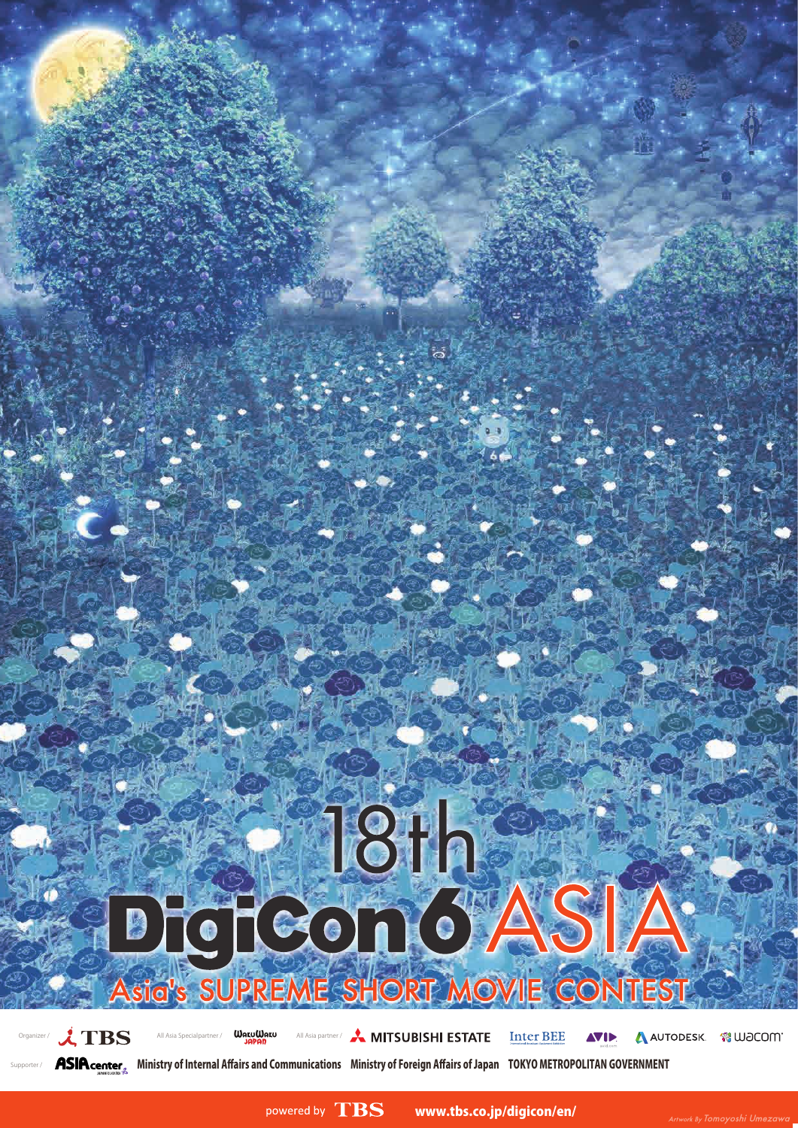